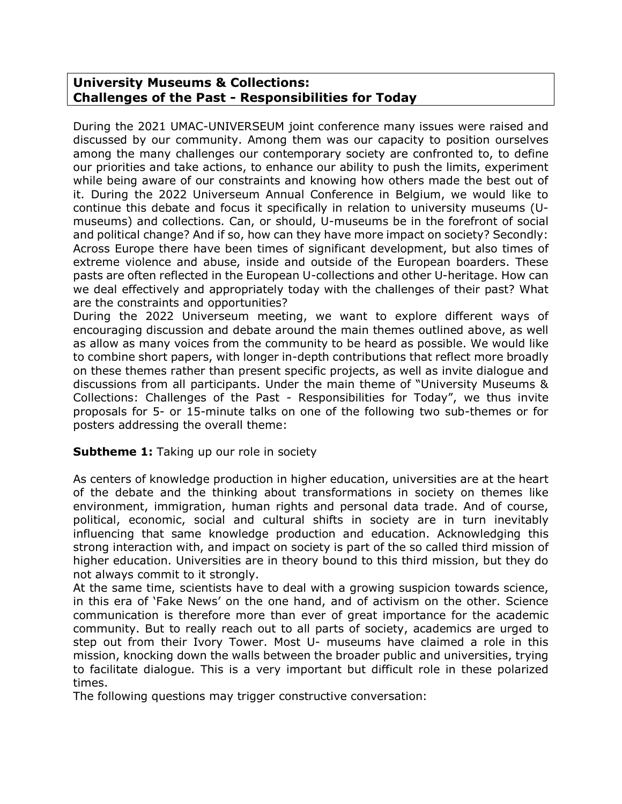# **University Museums & Collections: Challenges of the Past - Responsibilities for Today**

During the 2021 UMAC-UNIVERSEUM joint conference many issues were raised and discussed by our community. Among them was our capacity to position ourselves among the many challenges our contemporary society are confronted to, to define our priorities and take actions, to enhance our ability to push the limits, experiment while being aware of our constraints and knowing how others made the best out of it. During the 2022 Universeum Annual Conference in Belgium, we would like to continue this debate and focus it specifically in relation to university museums (Umuseums) and collections. Can, or should, U-museums be in the forefront of social and political change? And if so, how can they have more impact on society? Secondly: Across Europe there have been times of significant development, but also times of extreme violence and abuse, inside and outside of the European boarders. These pasts are often reflected in the European U-collections and other U-heritage. How can we deal effectively and appropriately today with the challenges of their past? What are the constraints and opportunities?

During the 2022 Universeum meeting, we want to explore different ways of encouraging discussion and debate around the main themes outlined above, as well as allow as many voices from the community to be heard as possible. We would like to combine short papers, with longer in-depth contributions that reflect more broadly on these themes rather than present specific projects, as well as invite dialogue and discussions from all participants. Under the main theme of "University Museums & Collections: Challenges of the Past - Responsibilities for Today", we thus invite proposals for 5- or 15-minute talks on one of the following two sub-themes or for posters addressing the overall theme:

## **Subtheme 1:** Taking up our role in society

As centers of knowledge production in higher education, universities are at the heart of the debate and the thinking about transformations in society on themes like environment, immigration, human rights and personal data trade. And of course, political, economic, social and cultural shifts in society are in turn inevitably influencing that same knowledge production and education. Acknowledging this strong interaction with, and impact on society is part of the so called third mission of higher education. Universities are in theory bound to this third mission, but they do not always commit to it strongly.

At the same time, scientists have to deal with a growing suspicion towards science, in this era of 'Fake News' on the one hand, and of activism on the other. Science communication is therefore more than ever of great importance for the academic community. But to really reach out to all parts of society, academics are urged to step out from their Ivory Tower. Most U- museums have claimed a role in this mission, knocking down the walls between the broader public and universities, trying to facilitate dialogue. This is a very important but difficult role in these polarized times.

The following questions may trigger constructive conversation: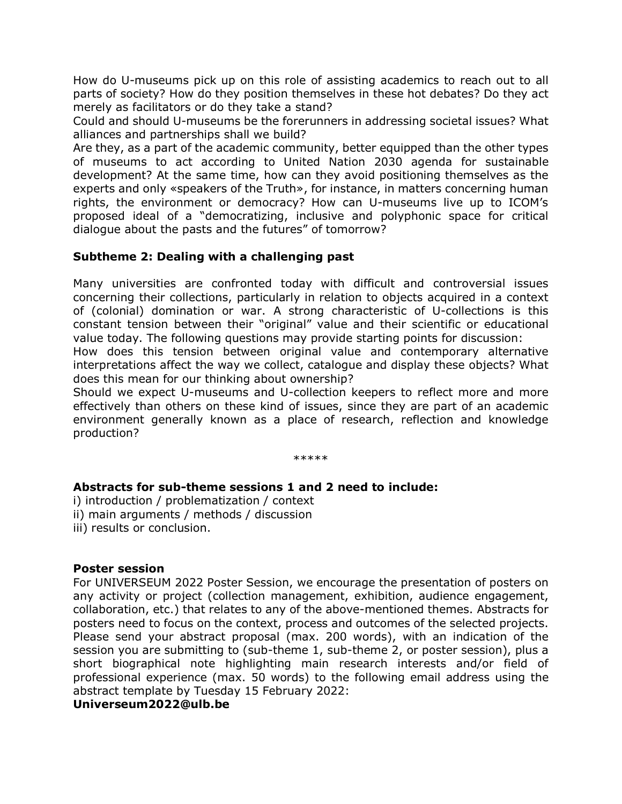How do U-museums pick up on this role of assisting academics to reach out to all parts of society? How do they position themselves in these hot debates? Do they act merely as facilitators or do they take a stand?

Could and should U-museums be the forerunners in addressing societal issues? What alliances and partnerships shall we build?

Are they, as a part of the academic community, better equipped than the other types of museums to act according to United Nation 2030 agenda for sustainable development? At the same time, how can they avoid positioning themselves as the experts and only «speakers of the Truth», for instance, in matters concerning human rights, the environment or democracy? How can U-museums live up to ICOM's proposed ideal of a "democratizing, inclusive and polyphonic space for critical dialogue about the pasts and the futures" of tomorrow?

## **Subtheme 2: Dealing with a challenging past**

Many universities are confronted today with difficult and controversial issues concerning their collections, particularly in relation to objects acquired in a context of (colonial) domination or war. A strong characteristic of U-collections is this constant tension between their "original" value and their scientific or educational value today. The following questions may provide starting points for discussion:

How does this tension between original value and contemporary alternative interpretations affect the way we collect, catalogue and display these objects? What does this mean for our thinking about ownership?

Should we expect U-museums and U-collection keepers to reflect more and more effectively than others on these kind of issues, since they are part of an academic environment generally known as a place of research, reflection and knowledge production?

\*\*\*\*\*

## **Abstracts for sub-theme sessions 1 and 2 need to include:**

i) introduction / problematization / context

ii) main arguments / methods / discussion

iii) results or conclusion.

## **Poster session**

For UNIVERSEUM 2022 Poster Session, we encourage the presentation of posters on any activity or project (collection management, exhibition, audience engagement, collaboration, etc.) that relates to any of the above-mentioned themes. Abstracts for posters need to focus on the context, process and outcomes of the selected projects. Please send your abstract proposal (max. 200 words), with an indication of the session you are submitting to (sub-theme 1, sub-theme 2, or poster session), plus a short biographical note highlighting main research interests and/or field of professional experience (max. 50 words) to the following email address using the abstract template by Tuesday 15 February 2022:

#### **Universeum2022@ulb.be**